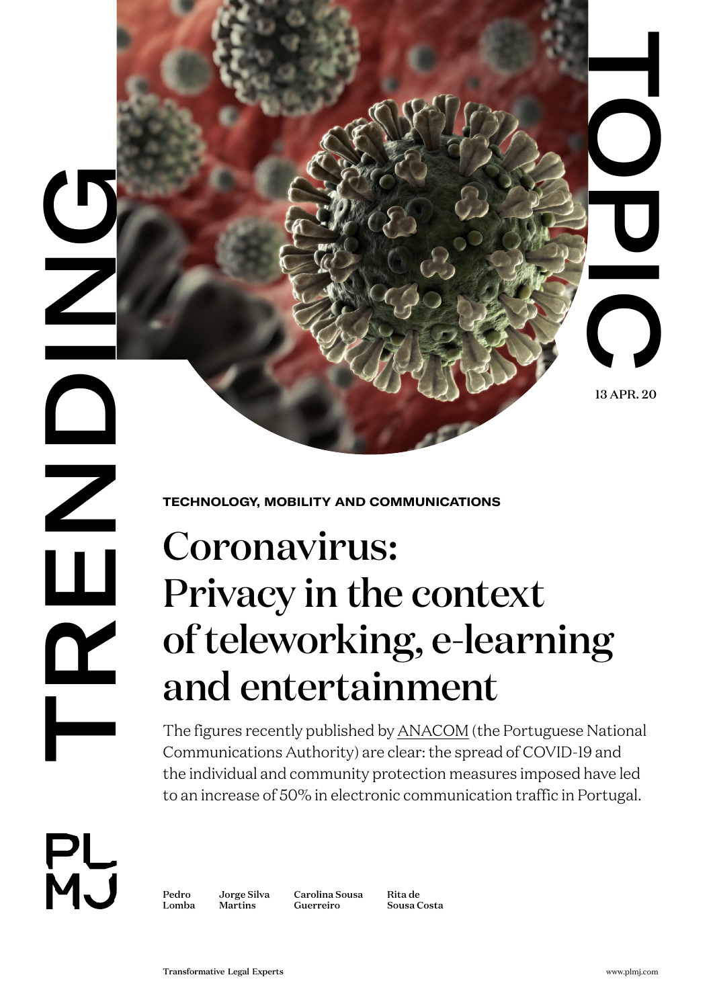13 APR. 20

 $\overline{\phantom{a}}$ 

**TECHNOLOGY, MOBILITY AND COMMUNICATIONS** 

# TRANSFORM CONTRACT CONTRACT CONTRACT CONTRACT CONTRACT CONTRACT CONTRACT CONTRACT CONTRACT CONTRACT CONTRACT CONTRACT CONTRACT CONTRACT CONTRACT CONTRACT CONTRACT CONTRACT CONTRACT CONTRACT CONTRACT CONTRACT CONTRACT CONTR Coronavirus: Privacy in the context of teleworking, e-learning and entertainment

The figures recently published by [ANACOM](https://www.anacom.pt/render.jsp?contentId=1519947) (the Portuguese National Communications Authority) are clear: the spread of COVID-19 and the individual and community protection measures imposed have led to an increase of 50% in electronic communication traffic in Portugal.

PL<br>MJ

[Pedro](https://www.plmj.com/en/people/partners/Pedro-Lomba/16285/)  [Lomba](https://www.plmj.com/en/people/partners/Pedro-Lomba/16285/)

[Jorge Silva](https://www.plmj.com/en/people/managing-associates/Jorge-Silva-Martins/18280/)  [Martins](https://www.plmj.com/en/people/managing-associates/Jorge-Silva-Martins/18280/)

[Carolina Sousa](https://www.plmj.com/en/people/associates/Carolina-Sousa-Guerreiro/18918/) [Guerreiro](https://www.plmj.com/en/people/associates/Carolina-Sousa-Guerreiro/18918/)

[Rita de](https://www.plmj.com/en/people/trainees/Rita-de-Sousa-Costa/19133/)  [Sousa Costa](https://www.plmj.com/en/people/trainees/Rita-de-Sousa-Costa/19133/)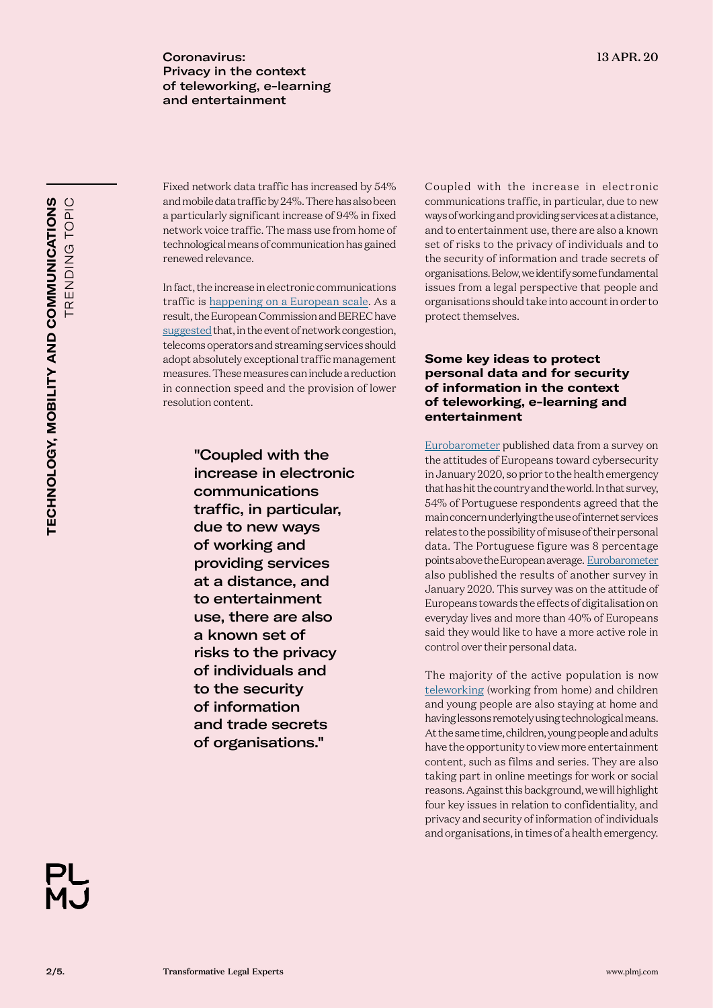Coronavirus: 13 APR. 20 Privacy in the context of teleworking, e-learning and entertainment

Fixed network data traffic has increased by 54% and mobile data traffic by 24%. There has also been a particularly significant increase of 94% in fixed network voice traffic. The mass use from home of technological means of communication has gained renewed relevance.

In fact, the increase in electronic communications traffic is [happening on a European scale](https://berec.europa.eu/eng/document_register/subject_matter/berec/press_releases/9238-press-release-berec-report-on-the-status-of-internet-capacity). As a result, the European Commission and BEREC have [suggested](https://ec.europa.eu/digital-single-market/en/news/commission-and-european-regulators-calls-streaming-services-operators-and-users-prevent-network) that, in the event of network congestion, telecoms operators and streaming services should adopt absolutely exceptional traffic management measures. These measures can include a reduction in connection speed and the provision of lower resolution content.

> "Coupled with the increase in electronic communications traffic, in particular, due to new ways of working and providing services at a distance, and to entertainment use, there are also a known set of risks to the privacy of individuals and to the security of information and trade secrets of organisations."

Coupled with the increase in electronic communications traffic, in particular, due to new ways of working and providing services at a distance, and to entertainment use, there are also a known set of risks to the privacy of individuals and to the security of information and trade secrets of organisations. Below, we identify some fundamental issues from a legal perspective that people and organisations should take into account in order to protect themselves.

# **Some key ideas to protect personal data and for security of information in the context of teleworking, e-learning and entertainment**

[Eurobarometer](https://ec.europa.eu/commfrontoffice/publicopinion/index.cfm/ResultDoc/download/DocumentKy/89083) published data from a survey on the attitudes of Europeans toward cybersecurity in January 2020, so prior to the health emergency that has hit the country and the world. In that survey, 54% of Portuguese respondents agreed that the main concern underlying the use of internet services relates to the possibility of misuse of their personal data. The Portuguese figure was 8 percentage points above the European average. [Eurobarometer](https://ec.europa.eu/commfrontoffice/publicopinion/index.cfm/ResultDoc/download/DocumentKy/89440) also published the results of another survey in January 2020. This survey was on the attitude of Europeans towards the effects of digitalisation on everyday lives and more than 40% of Europeans said they would like to have a more active role in control over their personal data.

The majority of the active population is now [teleworking](https://www.plmj.com/xms/files/00_Trending_Topics/NL_TT_Coronavirus_-_Employment_impacts.pdf) (working from home) and children and young people are also staying at home and having lessons remotely using technological means. At the same time, children, young people and adults have the opportunity to view more entertainment content, such as films and series. They are also taking part in online meetings for work or social reasons. Against this background, we will highlight four key issues in relation to confidentiality, and privacy and security of information of individuals and organisations, in times of a health emergency.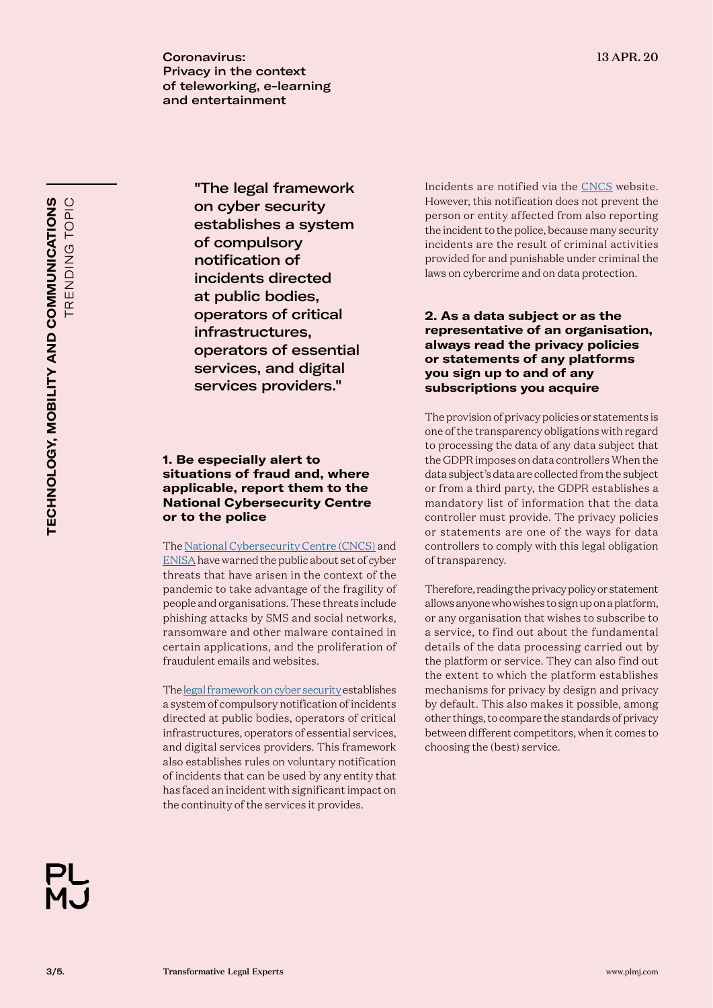Coronavirus: 13 APR. 20 Privacy in the context of teleworking, e-learning and entertainment

TRENDING TOPIC TECHNOLOGY, MOBILITY AND COMMUNICATIONS TRENDING TOPIC **TECHNOLOGY, MOBILITY AND COMMUNICATIONS**

"The legal framework on cyber security establishes a system of compulsory notification of incidents directed at public bodies, operators of critical infrastructures, operators of essential services, and digital services providers."

# **1. Be especially alert to situations of fraud and, where applicable, report them to the National Cybersecurity Centre or to the police**

The [National Cybersecurity Centre \(CNCS\)](https://www.cncs.gov.pt/recursos/noticias/alerta-covid-19-e-as-ciberameacas/) and [ENISA](https://www.enisa.europa.eu/news/enisa-news/tips-for-cybersecurity-when-buying-and-selling-online/) have warned the public about set of cyber threats that have arisen in the context of the pandemic to take advantage of the fragility of people and organisations. These threats include phishing attacks by SMS and social networks, ransomware and other malware contained in certain applications, and the proliferation of fraudulent emails and websites.

The [legal framework on cyber security](https://www.plmj.com/xms/files/v1_antigos_anteriores_a_abr2019/Eventos/2018/Cybersecurity_Legislation.pdf) establishes a system of compulsory notification of incidents directed at public bodies, operators of critical infrastructures, operators of essential services, and digital services providers. This framework also establishes rules on voluntary notification of incidents that can be used by any entity that has faced an incident with significant impact on the continuity of the services it provides.

Incidents are notified via the [CNCS](https://www.cncs.gov.pt/certpt/notificar-incidente/) website. However, this notification does not prevent the person or entity affected from also reporting the incident to the police, because many security incidents are the result of criminal activities provided for and punishable under criminal the laws on cybercrime and on data protection.

# **2. As a data subject or as the representative of an organisation, always read the privacy policies or statements of any platforms you sign up to and of any subscriptions you acquire**

The provision of privacy policies or statements is one of the transparency obligations with regard to processing the data of any data subject that the GDPR imposes on data controllers When the data subject's data are collected from the subject or from a third party, the GDPR establishes a mandatory list of information that the data controller must provide. The privacy policies or statements are one of the ways for data controllers to comply with this legal obligation of transparency.

Therefore, reading the privacy policy or statement allows anyone who wishes to sign up on a platform, or any organisation that wishes to subscribe to a service, to find out about the fundamental details of the data processing carried out by the platform or service. They can also find out the extent to which the platform establishes mechanisms for privacy by design and privacy by default. This also makes it possible, among other things, to compare the standards of privacy between different competitors, when it comes to choosing the (best) service.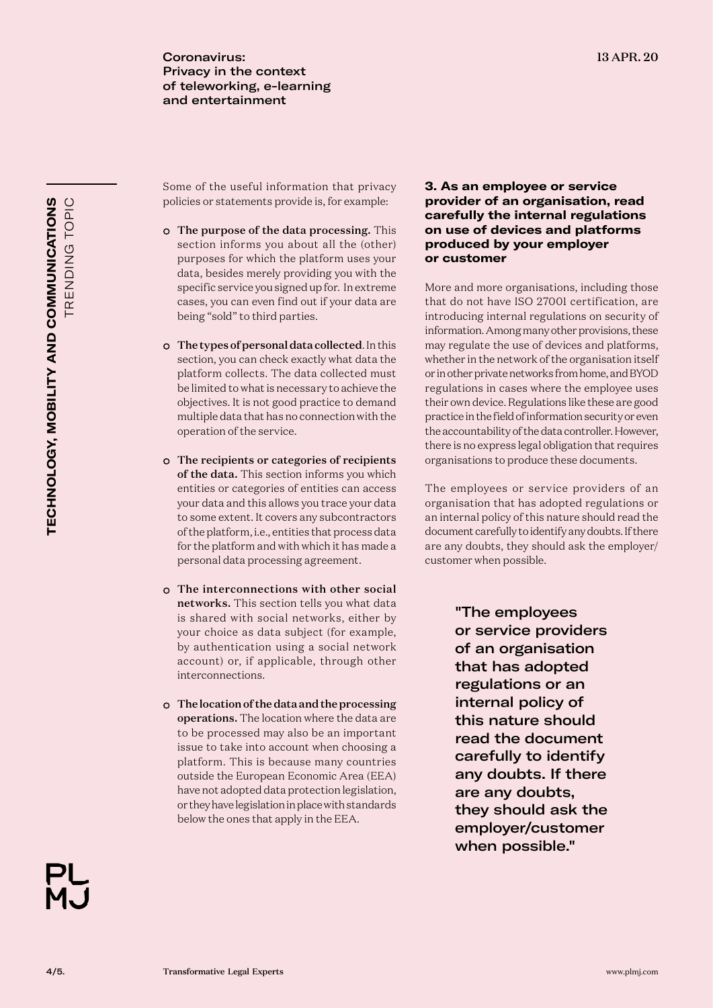Some of the useful information that privacy policies or statements provide is, for example:

- The purpose of the data processing. This section informs you about all the (other) purposes for which the platform uses your data, besides merely providing you with the specific service you signed up for. In extreme cases, you can even find out if your data are being "sold" to third parties.
- The types of personal data collected. In this section, you can check exactly what data the platform collects. The data collected must be limited to what is necessary to achieve the objectives. It is not good practice to demand multiple data that has no connection with the operation of the service.
- The recipients or categories of recipients of the data. This section informs you which entities or categories of entities can access your data and this allows you trace your data to some extent. It covers any subcontractors of the platform, i.e., entities that process data for the platform and with which it has made a personal data processing agreement.
- The interconnections with other social networks. This section tells you what data is shared with social networks, either by your choice as data subject (for example, by authentication using a social network account) or, if applicable, through other interconnections.
- The location of the data and the processing operations. The location where the data are to be processed may also be an important issue to take into account when choosing a platform. This is because many countries outside the European Economic Area (EEA) have not adopted data protection legislation, or they have legislation in place with standards below the ones that apply in the EEA.

# **3. As an employee or service provider of an organisation, read carefully the internal regulations on use of devices and platforms produced by your employer or customer**

More and more organisations, including those that do not have ISO 27001 certification, are introducing internal regulations on security of information. Among many other provisions, these may regulate the use of devices and platforms, whether in the network of the organisation itself or in other private networks from home, and BYOD regulations in cases where the employee uses their own device. Regulations like these are good practice in the field of information security or even the accountability of the data controller. However, there is no express legal obligation that requires organisations to produce these documents.

The employees or service providers of an organisation that has adopted regulations or an internal policy of this nature should read the document carefully to identify any doubts. If there are any doubts, they should ask the employer/ customer when possible.

> "The employees or service providers of an organisation that has adopted regulations or an internal policy of this nature should read the document carefully to identify any doubts. If there are any doubts, they should ask the employer/customer when possible."